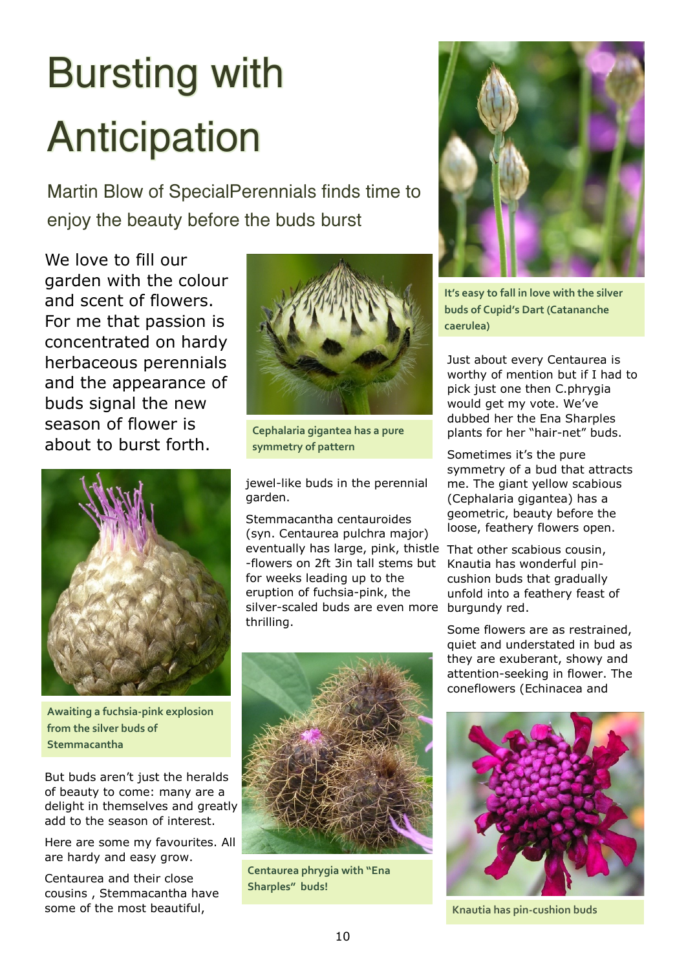## Bursting with Anticipation

Martin Blow of SpecialPerennials finds time to enjoy the beauty before the buds burst

We love to fill our garden with the colour and scent of flowers. For me that passion is concentrated on hardy herbaceous perennials and the appearance of buds signal the new season of flower is about to burst forth.



**Awaiting a fuchsia-pink explosion from the silver buds of Stemmacantha**

But buds aren't just the heralds of beauty to come: many are a delight in themselves and greatly add to the season of interest.

Here are some my favourites. All are hardy and easy grow.

Centaurea and their close cousins , Stemmacantha have some of the most beautiful,



**Cephalaria gigantea has a pure symmetry of pattern**

jewel-like buds in the perennial garden.

Stemmacantha centauroides (syn. Centaurea pulchra major) eventually has large, pink, thistle That other scabious cousin, -flowers on 2ft 3in tall stems but for weeks leading up to the eruption of fuchsia-pink, the silver-scaled buds are even more burgundy red. thrilling.



**Centaurea phrygia with "Ena Sharples" buds!**



**It's easy to fall in love with the silver buds of Cupid's Dart (Catananche caerulea)**

Just about every Centaurea is worthy of mention but if I had to pick just one then C.phrygia would get my vote. We've dubbed her the Ena Sharples plants for her "hair-net" buds.

Sometimes it's the pure symmetry of a bud that attracts me. The giant yellow scabious (Cephalaria gigantea) has a geometric, beauty before the loose, feathery flowers open.

Knautia has wonderful pincushion buds that gradually unfold into a feathery feast of

Some flowers are as restrained, quiet and understated in bud as they are exuberant, showy and attention-seeking in flower. The coneflowers (Echinacea and



**Knautia has pin-cushion buds**